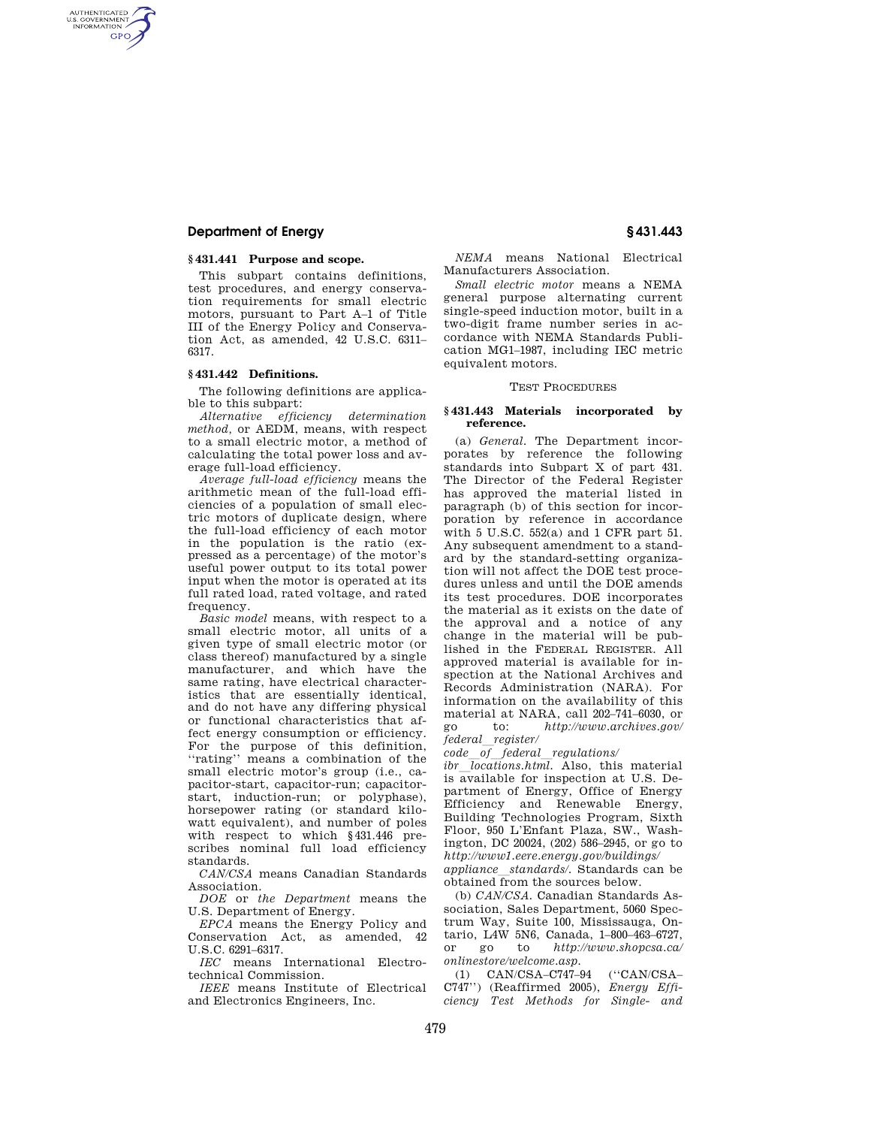# **Department of Energy § 431.443**

AUTHENTICATED<br>U.S. GOVERNMENT<br>INFORMATION **GPO** 

## **§ 431.441 Purpose and scope.**

This subpart contains definitions, test procedures, and energy conservation requirements for small electric motors, pursuant to Part A–1 of Title III of the Energy Policy and Conservation Act, as amended, 42 U.S.C. 6311– 6317.

### **§ 431.442 Definitions.**

The following definitions are applicable to this subpart:

*Alternative efficiency determination method,* or AEDM, means, with respect to a small electric motor, a method of calculating the total power loss and average full-load efficiency.

*Average full-load efficiency* means the arithmetic mean of the full-load efficiencies of a population of small electric motors of duplicate design, where the full-load efficiency of each motor in the population is the ratio (expressed as a percentage) of the motor's useful power output to its total power input when the motor is operated at its full rated load, rated voltage, and rated frequency.

*Basic model* means, with respect to a small electric motor, all units of a given type of small electric motor (or class thereof) manufactured by a single manufacturer, and which have the same rating, have electrical characteristics that are essentially identical, and do not have any differing physical or functional characteristics that affect energy consumption or efficiency. For the purpose of this definition, ''rating'' means a combination of the small electric motor's group (i.e., capacitor-start, capacitor-run; capacitorstart, induction-run; or polyphase), horsepower rating (or standard kilowatt equivalent), and number of poles with respect to which §431.446 prescribes nominal full load efficiency standards.

*CAN/CSA* means Canadian Standards Association.

*DOE* or *the Department* means the U.S. Department of Energy.

*EPCA* means the Energy Policy and Conservation Act, as amended, 42 U.S.C. 6291–6317.

*IEC* means International Electrotechnical Commission.

*IEEE* means Institute of Electrical and Electronics Engineers, Inc.

*NEMA* means National Electrical Manufacturers Association.

*Small electric motor* means a NEMA general purpose alternating current single-speed induction motor, built in a two-digit frame number series in accordance with NEMA Standards Publication MG1–1987, including IEC metric equivalent motors.

### TEST PROCEDURES

#### **§ 431.443 Materials incorporated by reference.**

(a) *General.* The Department incorporates by reference the following standards into Subpart X of part 431. The Director of the Federal Register has approved the material listed in paragraph (b) of this section for incorporation by reference in accordance with 5 U.S.C. 552(a) and 1 CFR part 51. Any subsequent amendment to a standard by the standard-setting organization will not affect the DOE test procedures unless and until the DOE amends its test procedures. DOE incorporates the material as it exists on the date of the approval and a notice of any change in the material will be published in the FEDERAL REGISTER. All approved material is available for inspection at the National Archives and Records Administration (NARA). For information on the availability of this material at NARA, call 202–741–6030, or go to: *http://www.archives.gov/ federal*l*register/* 

*code*l*of*l*federal*l*regulations/* 

*ibr locations.html.* Also, this material is available for inspection at U.S. Department of Energy, Office of Energy Efficiency and Renewable Energy, Building Technologies Program, Sixth Floor, 950 L'Enfant Plaza, SW., Washington, DC 20024, (202) 586–2945, or go to *http://www1.eere.energy.gov/buildings/ appliance*l*standards/.* Standards can be obtained from the sources below.

(b) *CAN/CSA.* Canadian Standards Association, Sales Department, 5060 Spectrum Way, Suite 100, Mississauga, Ontario, L4W 5N6, Canada, 1-800-463-6727,<br>or go to  $http://www.sho\nosa.ca/$ or go to *http://www.shopcsa.ca/ onlinestore/welcome.asp.* 

(1) CAN/CSA–C747–94 (''CAN/CSA– C747'') (Reaffirmed 2005), *Energy Efficiency Test Methods for Single- and*